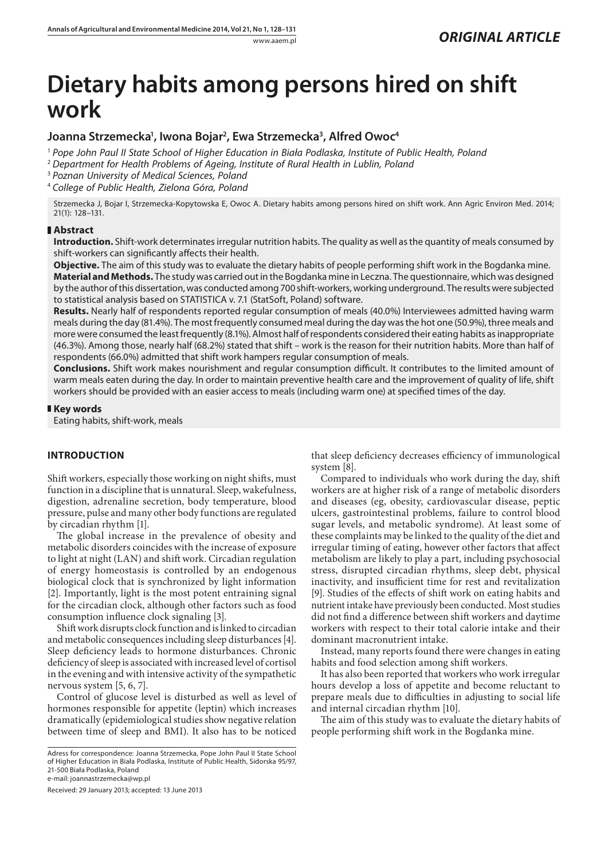# **Dietary habits among persons hired on shift work**

# Joanna Strzemecka<sup>1</sup>, Iwona Bojar<sup>2</sup>, Ewa Strzemecka<sup>3</sup>, Alfred Owoc<sup>4</sup>

<sup>1</sup> *Pope John Paul II State School of Higher Education in Biała Podlaska, Institute of Public Health, Poland*

<sup>2</sup> *Department for Health Problems of Ageing, Institute of Rural Health in Lublin, Poland*

<sup>3</sup> *Poznan University of Medical Sciences, Poland*

<sup>4</sup> *College of Public Health, Zielona Góra, Poland*

Strzemecka J, Bojar I, Strzemecka-Kopytowska E, Owoc A. Dietary habits among persons hired on shift work. Ann Agric Environ Med. 2014; 21(1): 128–131.

# **Abstract**

**Introduction.** Shift-work determinates irregular nutrition habits. The quality as well as the quantity of meals consumed by shift-workers can significantly affects their health.

**Objective.** The aim of this study was to evaluate the dietary habits of people performing shift work in the Bogdanka mine.

**Material and Methods.** The study was carried out in the Bogdanka mine in Leczna. The questionnaire, which was designed by the author of this dissertation, was conducted among 700 shift-workers, working underground. The results were subjected to statistical analysis based on STATISTICA v. 7.1 (StatSoft, Poland) software.

**Results.** Nearly half of respondents reported regular consumption of meals (40.0%) Interviewees admitted having warm meals during the day (81.4%). The most frequently consumed meal during the day was the hot one (50.9%), three meals and more were consumed the least frequently (8.1%). Almost half of respondents considered their eating habits as inappropriate (46.3%). Among those, nearly half (68.2%) stated that shift – work is the reason for their nutrition habits. More than half of respondents (66.0%) admitted that shift work hampers regular consumption of meals.

**Conclusions.** Shift work makes nourishment and regular consumption difficult. It contributes to the limited amount of warm meals eaten during the day. In order to maintain preventive health care and the improvement of quality of life, shift workers should be provided with an easier access to meals (including warm one) at specified times of the day.

# **Key words**

Eating habits, shift-work, meals

# **INTRODUCTION**

Shift workers, especially those working on night shifts, must function in a discipline that is unnatural. Sleep, wakefulness, digestion, adrenaline secretion, body temperature, blood pressure, pulse and many other body functions are regulated by circadian rhythm [1].

The global increase in the prevalence of obesity and metabolic disorders coincides with the increase of exposure to light at night (LAN) and shift work. Circadian regulation of energy homeostasis is controlled by an endogenous biological clock that is synchronized by light information [2]. Importantly, light is the most potent entraining signal for the circadian clock, although other factors such as food consumption influence clock signaling [3].

Shift work disrupts clock function and is linked to circadian and metabolic consequences including sleep disturbances [4]. Sleep deficiency leads to hormone disturbances. Chronic deficiency of sleep is associated with increased level of cortisol in the evening and with intensive activity of the sympathetic nervous system [5, 6, 7].

Control of glucose level is disturbed as well as level of hormones responsible for appetite (leptin) which increases dramatically (epidemiological studies show negative relation between time of sleep and BMI). It also has to be noticed

Adress for correspondence: Joanna Strzemecka, Pope John Paul II State School of Higher Education in Biała Podlaska, Institute of Public Health, Sidorska 95/97, 21-500 Biała Podlaska, Poland

e-mail: joannastrzemecka@wp.pl

Received: 29 January 2013; accepted: 13 June 2013

that sleep deficiency decreases efficiency of immunological system [8].

Compared to individuals who work during the day, shift workers are at higher risk of a range of metabolic disorders and diseases (eg, obesity, cardiovascular disease, peptic ulcers, gastrointestinal problems, failure to control blood sugar levels, and metabolic syndrome). At least some of these complaints may be linked to the quality of the diet and irregular timing of eating, however other factors that affect metabolism are likely to play a part, including psychosocial stress, disrupted circadian rhythms, sleep debt, physical inactivity, and insufficient time for rest and revitalization [9]. Studies of the effects of shift work on eating habits and nutrient intake have previously been conducted. Most studies did not find a difference between shift workers and daytime workers with respect to their total calorie intake and their dominant macronutrient intake.

Instead, many reports found there were changes in eating habits and food selection among shift workers.

It has also been reported that workers who work irregular hours develop a loss of appetite and become reluctant to prepare meals due to difficulties in adjusting to social life and internal circadian rhythm [10].

The aim of this study was to evaluate the dietary habits of people performing shift work in the Bogdanka mine.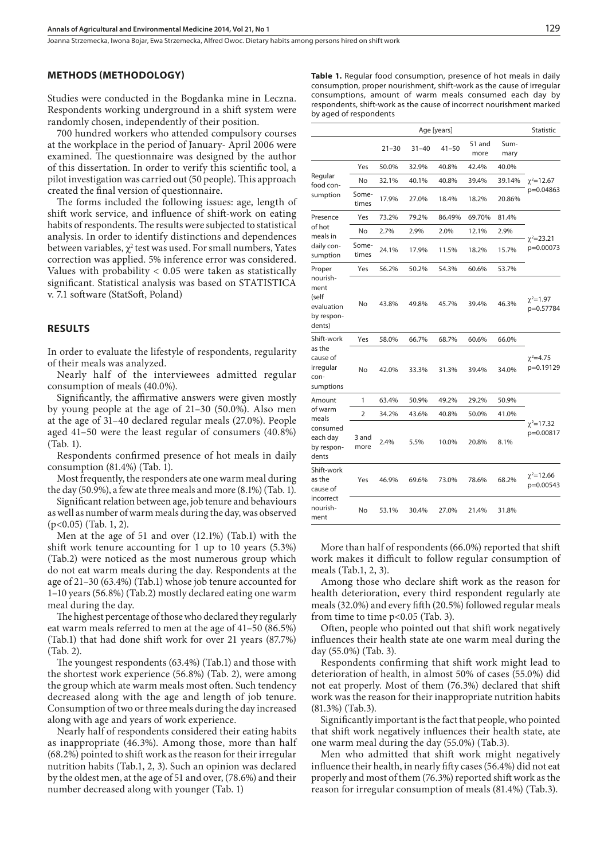## **METHODS (Methodology)**

Studies were conducted in the Bogdanka mine in Leczna. Respondents working underground in a shift system were randomly chosen, independently of their position.

700 hundred workers who attended compulsory courses at the workplace in the period of January- April 2006 were examined. The questionnaire was designed by the author of this dissertation. In order to verify this scientific tool, a pilot investigation was carried out (50 people). This approach created the final version of questionnaire.

The forms included the following issues: age*,* length of shift work service, and influence of shift-work on eating habits of respondents. The results were subjected to statistical analysis. In order to identify distinctions and dependences between variables,  $\chi^2$  test was used. For small numbers, Yates correction was applied. 5% inference error was considered. Values with probability < 0.05 were taken as statistically significant. Statistical analysis was based on STATISTICA v. 7.1 software (StatSoft, Poland)

#### **RESULTS**

In order to evaluate the lifestyle of respondents, regularity of their meals was analyzed.

Nearly half of the interviewees admitted regular consumption of meals (40.0%).

Significantly, the affirmative answers were given mostly by young people at the age of 21–30 (50.0%). Also men at the age of 31–40 declared regular meals (27.0%). People aged 41–50 were the least regular of consumers (40.8%) (Tab. 1).

Respondents confirmed presence of hot meals in daily consumption (81.4%) (Tab. 1).

Most frequently, the responders ate one warm meal during the day (50.9%), a few ate three meals and more (8.1%) (Tab. 1).

Significant relation between age, job tenure and behaviours as well as number of warm meals during the day, was observed (p<0.05) (Tab. 1, 2).

Men at the age of 51 and over (12.1%) (Tab.1) with the shift work tenure accounting for 1 up to 10 years (5.3%) (Tab.2) were noticed as the most numerous group which do not eat warm meals during the day. Respondents at the age of 21–30 (63.4%) (Tab.1) whose job tenure accounted for 1–10 years (56.8%) (Tab.2) mostly declared eating one warm meal during the day.

The highest percentage of those who declared they regularly eat warm meals referred to men at the age of 41–50 (86.5%) (Tab.1) that had done shift work for over 21 years (87.7%) (Tab. 2).

The youngest respondents (63.4%) (Tab.1) and those with the shortest work experience (56.8%) (Tab. 2), were among the group which ate warm meals most often. Such tendency decreased along with the age and length of job tenure. Consumption of two or three meals during the day increased along with age and years of work experience.

Nearly half of respondents considered their eating habits as inappropriate (46.3%). Among those, more than half (68.2%) pointed to shift work as the reason for their irregular nutrition habits (Tab.1, 2, 3). Such an opinion was declared by the oldest men, at the age of 51 and over, (78.6%) and their number decreased along with younger (Tab. 1)

**Table 1.** Regular food consumption, presence of hot meals in daily consumption, proper nourishment, shift-work as the cause of irregular consumptions, amount of warm meals consumed each day by respondents, shift-work as the cause of incorrect nourishment marked by aged of respondents

|                                                                           |                | Age [years] |           |           |                |              |                                |
|---------------------------------------------------------------------------|----------------|-------------|-----------|-----------|----------------|--------------|--------------------------------|
|                                                                           |                | $21 - 30$   | $31 - 40$ | $41 - 50$ | 51 and<br>more | Sum-<br>mary |                                |
| Regular<br>food con-<br>sumption                                          | Yes            | 50.0%       | 32.9%     | 40.8%     | 42.4%          | 40.0%        | $\chi^2$ =12.67<br>p=0.04863   |
|                                                                           | No             | 32.1%       | 40.1%     | 40.8%     | 39.4%          | 39.14%       |                                |
|                                                                           | Some-<br>times | 17.9%       | 27.0%     | 18.4%     | 18.2%          | 20.86%       |                                |
| Presence<br>of hot<br>meals in<br>daily con-<br>sumption                  | Yes            | 73.2%       | 79.2%     | 86.49%    | 69.70%         | 81.4%        | $\chi^2 = 23.21$<br>p=0.00073  |
|                                                                           | No             | 2.7%        | 2.9%      | 2.0%      | 12.1%          | 2.9%         |                                |
|                                                                           | Some-<br>times | 24.1%       | 17.9%     | 11.5%     | 18.2%          | 15.7%        |                                |
| Proper<br>nourish-<br>ment<br>(self<br>evaluation<br>by respon-<br>dents) | Yes            | 56.2%       | 50.2%     | 54.3%     | 60.6%          | 53.7%        |                                |
|                                                                           | No             | 43.8%       | 49.8%     | 45.7%     | 39.4%          | 46.3%        | $\chi^2$ =1.97<br>p=0.57784    |
| Shift-work<br>as the<br>cause of<br>irregular<br>con-<br>sumptions        | Yes            | 58.0%       | 66.7%     | 68.7%     | 60.6%          | 66.0%        |                                |
|                                                                           | No             | 42.0%       | 33.3%     | 31.3%     | 39.4%          | 34.0%        | $\gamma^2 = 4.75$<br>p=0.19129 |
| Amount                                                                    | 1              | 63.4%       | 50.9%     | 49.2%     | 29.2%          | 50.9%        |                                |
| of warm<br>meals<br>consumed<br>each day<br>by respon-<br>dents           | 2              | 34.2%       | 43.6%     | 40.8%     | 50.0%          | 41.0%        | $\chi^2$ =17.32<br>p=0.00817   |
|                                                                           | 3 and<br>more  | 2.4%        | 5.5%      | 10.0%     | 20.8%          | 8.1%         |                                |
| Shift-work<br>as the<br>cause of<br>incorrect<br>nourish-<br>ment         | Yes            | 46.9%       | 69.6%     | 73.0%     | 78.6%          | 68.2%        | $\chi^2$ =12.66<br>p=0.00543   |
|                                                                           | No             | 53.1%       | 30.4%     | 27.0%     | 21.4%          | 31.8%        |                                |

More than half of respondents (66.0%) reported that shift work makes it difficult to follow regular consumption of meals (Tab.1, 2, 3).

Among those who declare shift work as the reason for health deterioration, every third respondent regularly ate meals (32.0%) and every fifth (20.5%) followed regular meals from time to time p<0.05 (Tab. 3).

Often, people who pointed out that shift work negatively influences their health state ate one warm meal during the day (55.0%) (Tab. 3).

Respondents confirming that shift work might lead to deterioration of health, in almost 50% of cases (55.0%) did not eat properly. Most of them (76.3%) declared that shift work was the reason for their inappropriate nutrition habits (81.3%) (Tab.3).

Significantly important is the fact that people, who pointed that shift work negatively influences their health state, ate one warm meal during the day (55.0%) (Tab.3).

Men who admitted that shift work might negatively influence their health, in nearly fifty cases (56.4%) did not eat properly and most of them (76.3%) reported shift work as the reason for irregular consumption of meals (81.4%) (Tab.3).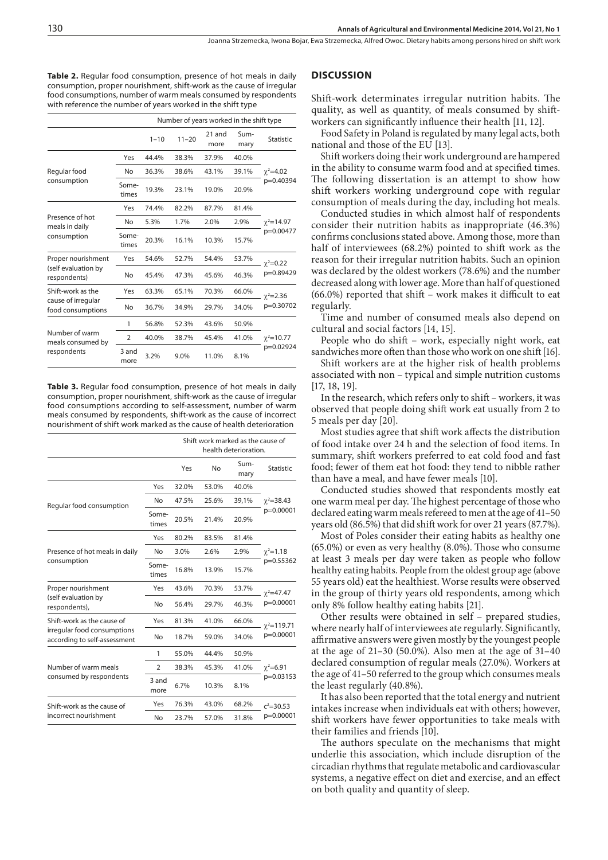**Table 2.** Regular food consumption, presence of hot meals in daily consumption, proper nourishment, shift-work as the cause of irregular food consumptions, number of warm meals consumed by respondents with reference the number of years worked in the shift type

|                                         | Number of years worked in the shift type |          |           |                |              |                                 |
|-----------------------------------------|------------------------------------------|----------|-----------|----------------|--------------|---------------------------------|
|                                         |                                          | $1 - 10$ | $11 - 20$ | 21 and<br>more | Sum-<br>mary | <b>Statistic</b>                |
|                                         | Yes                                      | 44.4%    | 38.3%     | 37.9%          | 40.0%        | $\gamma^2 = 4.02$<br>p=0.40394  |
| Regular food                            | No                                       | 36.3%    | 38.6%     | 43.1%          | 39.1%        |                                 |
| consumption                             | Some-<br>times                           | 19.3%    | 23.1%     | 19.0%          | 20.9%        |                                 |
|                                         | Yes                                      | 74.4%    | 82.2%     | 87.7%          | 81.4%        | $\gamma^2 = 14.97$<br>p=0.00477 |
| Presence of hot<br>meals in daily       | No                                       | 5.3%     | 1.7%      | 2.0%           | 2.9%         |                                 |
| consumption                             | Some-<br>times                           | 20.3%    | 16.1%     | 10.3%          | 15.7%        |                                 |
| Proper nourishment                      | Yes                                      | 54.6%    | 52.7%     | 54.4%          | 53.7%        | $\gamma^2 = 0.22$<br>p=0.89429  |
| (self evaluation by<br>respondents)     | <b>No</b>                                | 45.4%    | 47.3%     | 45.6%          | 46.3%        |                                 |
| Shift-work as the                       | Yes                                      | 63.3%    | 65.1%     | 70.3%          | 66.0%        | $\gamma^2 = 2.36$<br>p=0.30702  |
| cause of irregular<br>food consumptions | No                                       | 36.7%    | 34.9%     | 29.7%          | 34.0%        |                                 |
|                                         | 1                                        | 56.8%    | 52.3%     | 43.6%          | 50.9%        | $\gamma^2 = 10.77$<br>p=0.02924 |
| Number of warm<br>meals consumed by     | $\overline{2}$                           | 40.0%    | 38.7%     | 45.4%          | 41.0%        |                                 |
| respondents                             | 3 and<br>more                            | 3.2%     | 9.0%      | 11.0%          | 8.1%         |                                 |

**Table 3.** Regular food consumption, presence of hot meals in daily consumption, proper nourishment, shift-work as the cause of irregular food consumptions according to self-assessment, number of warm meals consumed by respondents, shift-work as the cause of incorrect nourishment of shift work marked as the cause of health deterioration

|                                                             |                | Shift work marked as the cause of<br>health deterioration. |           |                |                                 |  |
|-------------------------------------------------------------|----------------|------------------------------------------------------------|-----------|----------------|---------------------------------|--|
|                                                             |                | Yes                                                        | <b>No</b> | $Sum-$<br>mary | <b>Statistic</b>                |  |
|                                                             | Yes            | 32.0%                                                      | 53.0%     | 40.0%          |                                 |  |
| Regular food consumption                                    | No             | 47.5%                                                      | 25.6%     | 39,1%          | $\gamma^2 = 38.43$<br>p=0.00001 |  |
|                                                             | Some-<br>times | 20.5%                                                      | 21.4%     | 20.9%          |                                 |  |
|                                                             | Yes            | 80.2%                                                      | 83.5%     | 81.4%          | $\gamma^2 = 1.18$<br>p=0.55362  |  |
| Presence of hot meals in daily                              | No             | 3.0%                                                       | 2.6%      | 2.9%           |                                 |  |
| consumption                                                 | Some-<br>times | 16.8%                                                      | 13.9%     | 15.7%          |                                 |  |
| Proper nourishment                                          | Yes            | 43.6%                                                      | 70.3%     | 53.7%          | $\gamma^2 = 47.47$<br>p=0.00001 |  |
| (self evaluation by<br>respondents),                        | No             | 56.4%                                                      | 29.7%     | 46.3%          |                                 |  |
| Shift-work as the cause of                                  | Yes            | 81.3%                                                      | 41.0%     | 66.0%          | $\gamma^2$ =119.71<br>p=0.00001 |  |
| irregular food consumptions<br>according to self-assessment | No             | 18.7%                                                      | 59.0%     | 34.0%          |                                 |  |
|                                                             | 1              | 55.0%                                                      | 44.4%     | 50.9%          | $\gamma^2 = 6.91$<br>p=0.03153  |  |
| Number of warm meals                                        | $\overline{2}$ | 38.3%                                                      | 45.3%     | 41.0%          |                                 |  |
| consumed by respondents                                     | 3 and<br>more  | 6.7%                                                       | 10.3%     | 8.1%           |                                 |  |
| Shift-work as the cause of                                  | Yes            | 76.3%                                                      | 43.0%     | 68.2%          | $c^2 = 30.53$<br>p=0.00001      |  |
| incorrect nourishment                                       | No             | 23.7%                                                      | 57.0%     | 31.8%          |                                 |  |

#### **DISCUSSION**

Shift-work determinates irregular nutrition habits. The quality, as well as quantity, of meals consumed by shiftworkers can significantly influence their health [11, 12].

Food Safety in Poland is regulated by many legal acts, both national and those of the EU [13].

Shift workers doing their work underground are hampered in the ability to consume warm food and at specified times. The following dissertation is an attempt to show how shift workers working underground cope with regular consumption of meals during the day, including hot meals.

Conducted studies in which almost half of respondents consider their nutrition habits as inappropriate (46.3%) confirms conclusions stated above. Among those, more than half of interviewees (68.2%) pointed to shift work as the reason for their irregular nutrition habits. Such an opinion was declared by the oldest workers (78.6%) and the number decreased along with lower age. More than half of questioned (66.0%) reported that shift – work makes it difficult to eat regularly.

Time and number of consumed meals also depend on cultural and social factors [14, 15].

People who do shift – work, especially night work, eat sandwiches more often than those who work on one shift [16].

Shift workers are at the higher risk of health problems associated with non – typical and simple nutrition customs [17, 18, 19].

In the research, which refers only to shift – workers, it was observed that people doing shift work eat usually from 2 to 5 meals per day [20].

Most studies agree that shift work affects the distribution of food intake over 24 h and the selection of food items. In summary, shift workers preferred to eat cold food and fast food; fewer of them eat hot food: they tend to nibble rather than have a meal, and have fewer meals [10].

Conducted studies showed that respondents mostly eat one warm meal per day. The highest percentage of those who declared eating warm meals refereed to men at the age of 41–50 years old (86.5%) that did shift work for over 21 years (87.7%).

Most of Poles consider their eating habits as healthy one (65.0%) or even as very healthy (8.0%). Those who consume at least 3 meals per day were taken as people who follow healthy eating habits. People from the oldest group age (above 55 years old) eat the healthiest. Worse results were observed in the group of thirty years old respondents, among which only 8% follow healthy eating habits [21].

Other results were obtained in self – prepared studies, where nearly half of interviewees ate regularly. Significantly, affirmative answers were given mostly by the youngest people at the age of 21–30 (50.0%). Also men at the age of 31–40 declared consumption of regular meals (27.0%). Workers at the age of 41–50 referred to the group which consumes meals the least regularly (40.8%).

It has also been reported that the total energy and nutrient intakes increase when individuals eat with others; however, shift workers have fewer opportunities to take meals with their families and friends [10].

The authors speculate on the mechanisms that might underlie this association, which include disruption of the circadian rhythms that regulate metabolic and cardiovascular systems, a negative effect on diet and exercise, and an effect on both quality and quantity of sleep.